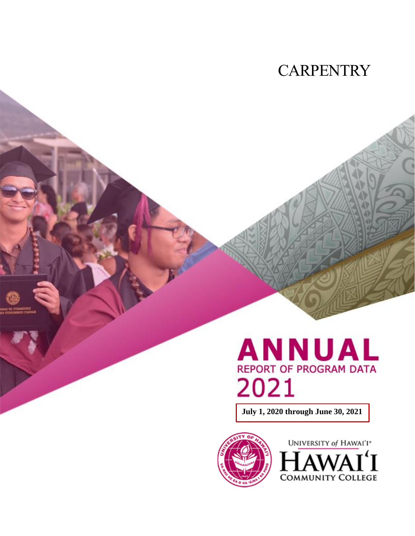## **CARPENTRY**

# **ANNUAL REPORT OF PROGRAM DATA** 2021

**July 1, 2020 through June 30, 2021**



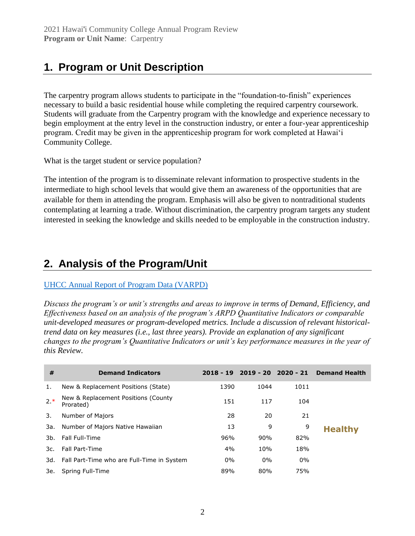## **1. Program or Unit Description**

The carpentry program allows students to participate in the "foundation-to-finish" experiences necessary to build a basic residential house while completing the required carpentry coursework. Students will graduate from the Carpentry program with the knowledge and experience necessary to begin employment at the entry level in the construction industry, or enter a four-year apprenticeship program. Credit may be given in the apprenticeship program for work completed at Hawai'i Community College.

What is the target student or service population?

The intention of the program is to disseminate relevant information to prospective students in the intermediate to high school levels that would give them an awareness of the opportunities that are available for them in attending the program. Emphasis will also be given to nontraditional students contemplating at learning a trade. Without discrimination, the carpentry program targets any student interested in seeking the knowledge and skills needed to be employable in the construction industry.

## **2. Analysis of the Program/Unit**

#### [UHCC Annual Report of Program Data \(VARPD\)](https://uhcc.hawaii.edu/varpd/)

*Discuss the program's or unit's strengths and areas to improve in terms of Demand, Efficiency, and Effectiveness based on an analysis of the program's ARPD Quantitative Indicators or comparable unit-developed measures or program-developed metrics. Include a discussion of relevant historicaltrend data on key measures (i.e., last three years). Provide an explanation of any significant changes to the program's Quantitative Indicators or unit's key performance measures in the year of this Review.*

| #     | <b>Demand Indicators</b>                         | $2018 - 19$ |       | 2019 - 20 2020 - 21 | <b>Demand Health</b> |
|-------|--------------------------------------------------|-------------|-------|---------------------|----------------------|
| 1.    | New & Replacement Positions (State)              | 1390        | 1044  | 1011                |                      |
| $2.*$ | New & Replacement Positions (County<br>Prorated) | 151         | 117   | 104                 |                      |
| 3.    | Number of Majors                                 | 28          | 20    | 21                  |                      |
| 3a.   | Number of Majors Native Hawaiian                 | 13          | 9     | 9                   | <b>Healthy</b>       |
| 3b.   | Fall Full-Time                                   | 96%         | 90%   | 82%                 |                      |
| 3c.   | Fall Part-Time                                   | 4%          | 10%   | 18%                 |                      |
|       | 3d. Fall Part-Time who are Full-Time in System   | $0\%$       | $0\%$ | $0\%$               |                      |
| 3е.   | Spring Full-Time                                 | 89%         | 80%   | 75%                 |                      |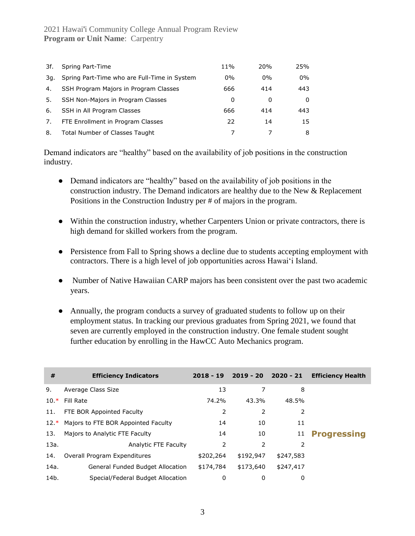| 3f. | Spring Part-Time                             | 11%   | 20%   | 25%   |
|-----|----------------------------------------------|-------|-------|-------|
| 3g. | Spring Part-Time who are Full-Time in System | $0\%$ | $0\%$ | $0\%$ |
| 4.  | SSH Program Majors in Program Classes        | 666   | 414   | 443   |
| 5.  | SSH Non-Majors in Program Classes            | 0     | 0     | 0     |
| 6.  | SSH in All Program Classes                   | 666   | 414   | 443   |
| 7.  | FTE Enrollment in Program Classes            | 22    | 14    | 15    |
| 8.  | Total Number of Classes Taught               |       |       | 8     |

Demand indicators are "healthy" based on the availability of job positions in the construction industry.

- Demand indicators are "healthy" based on the availability of job positions in the construction industry. The Demand indicators are healthy due to the New & Replacement Positions in the Construction Industry per # of majors in the program.
- Within the construction industry, whether Carpenters Union or private contractors, there is high demand for skilled workers from the program.
- Persistence from Fall to Spring shows a decline due to students accepting employment with contractors. There is a high level of job opportunities across Hawai'i Island.
- Number of Native Hawaiian CARP majors has been consistent over the past two academic years.
- Annually, the program conducts a survey of graduated students to follow up on their employment status. In tracking our previous graduates from Spring 2021, we found that seven are currently employed in the construction industry. One female student sought further education by enrolling in the HawCC Auto Mechanics program.

| #      | <b>Efficiency Indicators</b>        | $2018 - 19$ | 2019 - 20 2020 - 21 |           | <b>Efficiency Health</b> |
|--------|-------------------------------------|-------------|---------------------|-----------|--------------------------|
| 9.     | Average Class Size                  | 13          | 7                   | 8         |                          |
| $10.*$ | Fill Rate                           | 74.2%       | 43.3%               | 48.5%     |                          |
| 11.    | FTE BOR Appointed Faculty           | 2           | 2                   | 2         |                          |
| $12.*$ | Majors to FTE BOR Appointed Faculty | 14          | 10                  | 11        |                          |
| 13.    | Majors to Analytic FTE Faculty      | 14          | 10                  | 11        | <b>Progressing</b>       |
| 13a.   | Analytic FTE Faculty                | 2           | 2                   | 2         |                          |
| 14.    | Overall Program Expenditures        | \$202,264   | \$192,947           | \$247,583 |                          |
| 14a.   | General Funded Budget Allocation    | \$174,784   | \$173,640           | \$247,417 |                          |
| 14b.   | Special/Federal Budget Allocation   | 0           | 0                   | 0         |                          |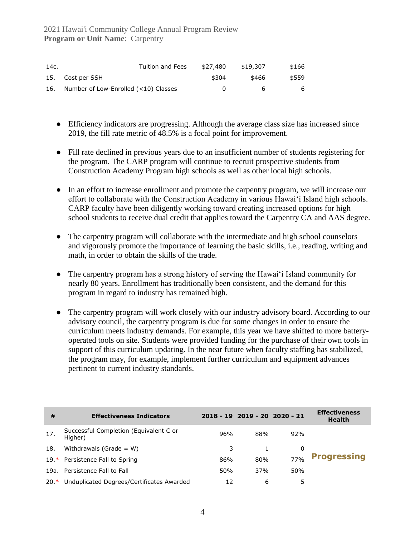| 14c. | Tuition and Fees                     | \$27,480     | \$19,307 | \$166 |
|------|--------------------------------------|--------------|----------|-------|
|      | 15. Cost per SSH                     | \$304        | \$466    | \$559 |
| 16.  | Number of Low-Enrolled (<10) Classes | $\mathbf{U}$ | h        | 6     |

- Efficiency indicators are progressing. Although the average class size has increased since 2019, the fill rate metric of 48.5% is a focal point for improvement.
- Fill rate declined in previous years due to an insufficient number of students registering for the program. The CARP program will continue to recruit prospective students from Construction Academy Program high schools as well as other local high schools.
- In an effort to increase enrollment and promote the carpentry program, we will increase our effort to collaborate with the Construction Academy in various Hawai'i Island high schools. CARP faculty have been diligently working toward creating increased options for high school students to receive dual credit that applies toward the Carpentry CA and AAS degree.
- The carpentry program will collaborate with the intermediate and high school counselors and vigorously promote the importance of learning the basic skills, i.e., reading, writing and math, in order to obtain the skills of the trade.
- The carpentry program has a strong history of serving the Hawai<sup>'</sup>i Island community for nearly 80 years. Enrollment has traditionally been consistent, and the demand for this program in regard to industry has remained high.
- The carpentry program will work closely with our industry advisory board. According to our advisory council, the carpentry program is due for some changes in order to ensure the curriculum meets industry demands. For example, this year we have shifted to more batteryoperated tools on site. Students were provided funding for the purchase of their own tools in support of this curriculum updating. In the near future when faculty staffing has stabilized, the program may, for example, implement further curriculum and equipment advances pertinent to current industry standards.

| #   | <b>Effectiveness Indicators</b>                   |     | 2018 - 19 2019 - 20 2020 - 21 |     | <b>Effectiveness</b><br><b>Health</b> |
|-----|---------------------------------------------------|-----|-------------------------------|-----|---------------------------------------|
| 17. | Successful Completion (Equivalent C or<br>Higher) | 96% | 88%                           | 92% |                                       |
| 18. | Withdrawals (Grade = $W$ )                        | 3   |                               | 0   |                                       |
|     | 19.* Persistence Fall to Spring                   | 86% | 80%                           | 77% | <b>Progressing</b>                    |
|     | 19a. Persistence Fall to Fall                     | 50% | 37%                           | 50% |                                       |
|     | 20.* Unduplicated Degrees/Certificates Awarded    | 12  | 6                             | 5   |                                       |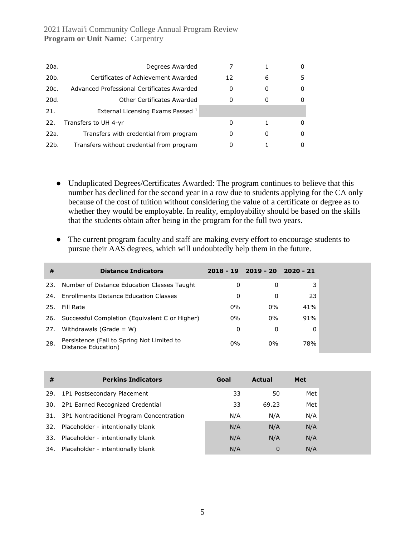| 20a.              | Degrees Awarded                            |    |          |   |
|-------------------|--------------------------------------------|----|----------|---|
| 20 <sub>b</sub> . | Certificates of Achievement Awarded        | 12 | 6        | 5 |
| 20c.              | Advanced Professional Certificates Awarded | 0  | 0        | 0 |
| 20d.              | Other Certificates Awarded                 | 0  |          |   |
| 21.               | External Licensing Exams Passed 1          |    |          |   |
| 22.               | Transfers to UH 4-yr                       | 0  |          | 0 |
| 22a.              | Transfers with credential from program     | 0  | $\Omega$ | 0 |
| 22b.              | Transfers without credential from program  |    |          |   |

- Unduplicated Degrees/Certificates Awarded: The program continues to believe that this number has declined for the second year in a row due to students applying for the CA only because of the cost of tuition without considering the value of a certificate or degree as to whether they would be employable. In reality, employability should be based on the skills that the students obtain after being in the program for the full two years.
- The current program faculty and staff are making every effort to encourage students to pursue their AAS degrees, which will undoubtedly help them in the future.

| #    | <b>Distance Indicators</b>                                        |       | $2018 - 19$ $2019 - 20$ $2020 - 21$ |     |
|------|-------------------------------------------------------------------|-------|-------------------------------------|-----|
| 23.  | Number of Distance Education Classes Taught                       | 0     | 0                                   | 3   |
| 24.  | Enrollments Distance Education Classes                            | 0     | 0                                   | 23  |
| 25.  | Fill Rate                                                         | $0\%$ | $0\%$                               | 41% |
| 26.  | Successful Completion (Equivalent C or Higher)                    | $0\%$ | $0\%$                               | 91% |
| 27.  | Withdrawals (Grade = $W$ )                                        | 0     | 0                                   | 0   |
| -28. | Persistence (Fall to Spring Not Limited to<br>Distance Education) | $0\%$ | $0\%$                               | 78% |

| #   | <b>Perkins Indicators</b>                | Goal | <b>Actual</b> | <b>Met</b> |
|-----|------------------------------------------|------|---------------|------------|
| 29. | 1P1 Postsecondary Placement              | 33   | 50            | Met        |
| 30. | 2P1 Earned Recognized Credential         | 33   | 69.23         | Met        |
| 31. | 3P1 Nontraditional Program Concentration | N/A  | N/A           | N/A        |
|     | 32. Placeholder - intentionally blank    | N/A  | N/A           | N/A        |
|     | 33. Placeholder - intentionally blank    | N/A  | N/A           | N/A        |
| 34. | Placeholder - intentionally blank        | N/A  | $\mathbf 0$   | N/A        |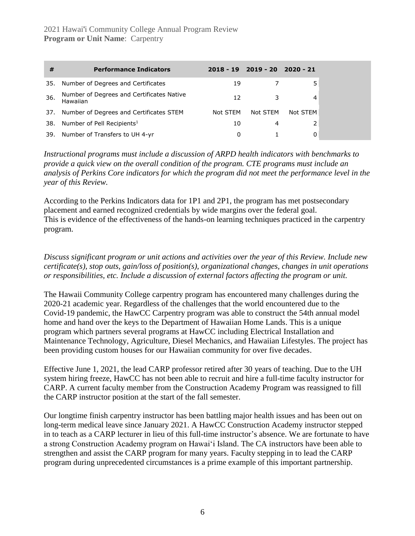| #   | <b>Performance Indicators</b>                         |          | $2018 - 19$ $2019 - 20$ $2020 - 21$ |          |
|-----|-------------------------------------------------------|----------|-------------------------------------|----------|
| 35. | Number of Degrees and Certificates                    | 19       |                                     | 5        |
| 36. | Number of Degrees and Certificates Native<br>Hawaiian | 12       | 3                                   | 4        |
| 37. | Number of Degrees and Certificates STEM               | Not STEM | Not STEM                            | Not STEM |
| 38. | Number of Pell Recipients <sup>1</sup>                | 10       | 4                                   |          |
| 39. | Number of Transfers to UH 4-yr                        | 0        |                                     |          |

*Instructional programs must include a discussion of ARPD health indicators with benchmarks to provide a quick view on the overall condition of the program. CTE programs must include an analysis of Perkins Core indicators for which the program did not meet the performance level in the year of this Review.*

According to the Perkins Indicators data for 1P1 and 2P1, the program has met postsecondary placement and earned recognized credentials by wide margins over the federal goal. This is evidence of the effectiveness of the hands-on learning techniques practiced in the carpentry program.

*Discuss significant program or unit actions and activities over the year of this Review. Include new certificate(s), stop outs, gain/loss of position(s), organizational changes, changes in unit operations or responsibilities, etc. Include a discussion of external factors affecting the program or unit.*

The Hawaii Community College carpentry program has encountered many challenges during the 2020-21 academic year. Regardless of the challenges that the world encountered due to the Covid-19 pandemic, the HawCC Carpentry program was able to construct the 54th annual model home and hand over the keys to the Department of Hawaiian Home Lands. This is a unique program which partners several programs at HawCC including Electrical Installation and Maintenance Technology, Agriculture, Diesel Mechanics, and Hawaiian Lifestyles. The project has been providing custom houses for our Hawaiian community for over five decades.

Effective June 1, 2021, the lead CARP professor retired after 30 years of teaching. Due to the UH system hiring freeze, HawCC has not been able to recruit and hire a full-time faculty instructor for CARP. A current faculty member from the Construction Academy Program was reassigned to fill the CARP instructor position at the start of the fall semester.

Our longtime finish carpentry instructor has been battling major health issues and has been out on long-term medical leave since January 2021. A HawCC Construction Academy instructor stepped in to teach as a CARP lecturer in lieu of this full-time instructor's absence. We are fortunate to have a strong Construction Academy program on Hawaiʻi Island. The CA instructors have been able to strengthen and assist the CARP program for many years. Faculty stepping in to lead the CARP program during unprecedented circumstances is a prime example of this important partnership.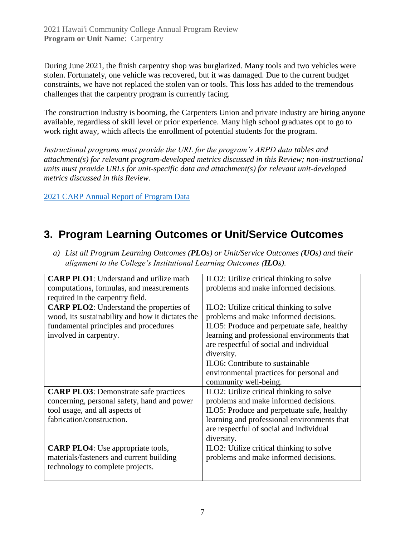During June 2021, the finish carpentry shop was burglarized. Many tools and two vehicles were stolen. Fortunately, one vehicle was recovered, but it was damaged. Due to the current budget constraints, we have not replaced the stolen van or tools. This loss has added to the tremendous challenges that the carpentry program is currently facing.

The construction industry is booming, the Carpenters Union and private industry are hiring anyone available, regardless of skill level or prior experience. Many high school graduates opt to go to work right away, which affects the enrollment of potential students for the program.

*Instructional programs must provide the URL for the program's ARPD data tables and attachment(s) for relevant program-developed metrics discussed in this Review; non-instructional units must provide URLs for unit-specific data and attachment(s) for relevant unit-developed metrics discussed in this Review.*

[2021 CARP Annual Report of Program Data](https://uhcc.hawaii.edu/varpd/index.php?y=2021&c=HAW&t=CTE&p=2314)

## **3. Program Learning Outcomes or Unit/Service Outcomes**

| <b>CARP PLO1:</b> Understand and utilize math    | ILO2: Utilize critical thinking to solve    |
|--------------------------------------------------|---------------------------------------------|
| computations, formulas, and measurements         | problems and make informed decisions.       |
| required in the carpentry field.                 |                                             |
| <b>CARP PLO2:</b> Understand the properties of   | ILO2: Utilize critical thinking to solve    |
| wood, its sustainability and how it dictates the | problems and make informed decisions.       |
| fundamental principles and procedures            | ILO5: Produce and perpetuate safe, healthy  |
| involved in carpentry.                           | learning and professional environments that |
|                                                  | are respectful of social and individual     |
|                                                  | diversity.                                  |
|                                                  | ILO6: Contribute to sustainable             |
|                                                  | environmental practices for personal and    |
|                                                  | community well-being.                       |
| <b>CARP PLO3:</b> Demonstrate safe practices     | ILO2: Utilize critical thinking to solve    |
| concerning, personal safety, hand and power      | problems and make informed decisions.       |
| tool usage, and all aspects of                   | ILO5: Produce and perpetuate safe, healthy  |
| fabrication/construction.                        | learning and professional environments that |
|                                                  | are respectful of social and individual     |
|                                                  | diversity.                                  |
| <b>CARP PLO4</b> : Use appropriate tools,        | ILO2: Utilize critical thinking to solve    |
| materials/fasteners and current building         | problems and make informed decisions.       |
| technology to complete projects.                 |                                             |
|                                                  |                                             |

*a) List all Program Learning Outcomes (PLOs) or Unit/Service Outcomes (UOs) and their alignment to the College's Institutional Learning Outcomes (ILOs).*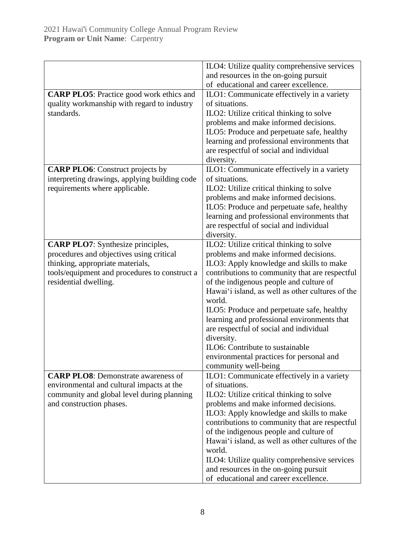| ILO4: Utilize quality comprehensive services                       |
|--------------------------------------------------------------------|
| and resources in the on-going pursuit                              |
| of educational and career excellence.                              |
| ILO1: Communicate effectively in a variety                         |
| of situations.                                                     |
| ILO2: Utilize critical thinking to solve                           |
| problems and make informed decisions.                              |
| ILO5: Produce and perpetuate safe, healthy                         |
| learning and professional environments that                        |
| are respectful of social and individual                            |
| diversity.                                                         |
| ILO1: Communicate effectively in a variety                         |
| of situations.                                                     |
| ILO2: Utilize critical thinking to solve                           |
| problems and make informed decisions.                              |
| ILO5: Produce and perpetuate safe, healthy                         |
| learning and professional environments that                        |
| are respectful of social and individual                            |
| diversity.                                                         |
| ILO2: Utilize critical thinking to solve                           |
| problems and make informed decisions.                              |
| ILO3: Apply knowledge and skills to make                           |
| contributions to community that are respectful                     |
| of the indigenous people and culture of                            |
| Hawai'i island, as well as other cultures of the                   |
| world.                                                             |
| ILO5: Produce and perpetuate safe, healthy                         |
| learning and professional environments that                        |
| are respectful of social and individual                            |
| diversity.<br>ILO6: Contribute to sustainable                      |
|                                                                    |
| environmental practices for personal and                           |
| community well-being<br>ILO1: Communicate effectively in a variety |
| of situations.                                                     |
| ILO2: Utilize critical thinking to solve                           |
| problems and make informed decisions.                              |
| ILO3: Apply knowledge and skills to make                           |
| contributions to community that are respectful                     |
| of the indigenous people and culture of                            |
| Hawai'i island, as well as other cultures of the                   |
| world.                                                             |
| ILO4: Utilize quality comprehensive services                       |
| and resources in the on-going pursuit                              |
| of educational and career excellence.                              |
|                                                                    |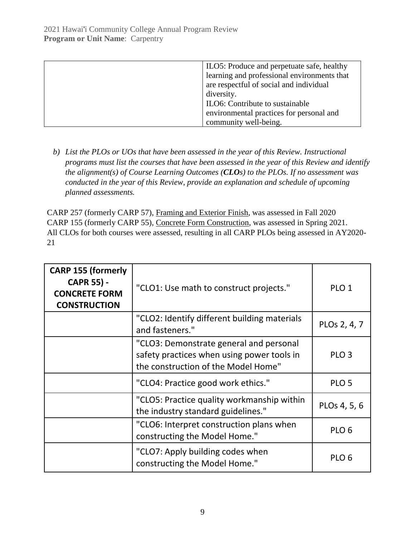| ILO5: Produce and perpetuate safe, healthy  |
|---------------------------------------------|
| learning and professional environments that |
| are respectful of social and individual     |
| diversity.                                  |
| ILO6: Contribute to sustainable             |
| environmental practices for personal and    |
| community well-being.                       |

*b) List the PLOs or UOs that have been assessed in the year of this Review. Instructional programs must list the courses that have been assessed in the year of this Review and identify the alignment(s) of Course Learning Outcomes (CLOs) to the PLOs. If no assessment was conducted in the year of this Review, provide an explanation and schedule of upcoming planned assessments.*

CARP 257 (formerly CARP 57), Framing and Exterior Finish, was assessed in Fall 2020 CARP 155 (formerly CARP 55), Concrete Form Construction, was assessed in Spring 2021. All CLOs for both courses were assessed, resulting in all CARP PLOs being assessed in AY2020- 21

| <b>CARP 155 (formerly</b><br><b>CAPR 55) -</b><br><b>CONCRETE FORM</b><br><b>CONSTRUCTION</b> | "CLO1: Use math to construct projects."                                                                                      | PLO <sub>1</sub> |
|-----------------------------------------------------------------------------------------------|------------------------------------------------------------------------------------------------------------------------------|------------------|
|                                                                                               | "CLO2: Identify different building materials<br>and fasteners."                                                              | PLOs 2, 4, 7     |
|                                                                                               | "CLO3: Demonstrate general and personal<br>safety practices when using power tools in<br>the construction of the Model Home" | PLO <sub>3</sub> |
|                                                                                               | "CLO4: Practice good work ethics."                                                                                           | PLO <sub>5</sub> |
|                                                                                               | "CLO5: Practice quality workmanship within<br>the industry standard guidelines."                                             | PLOs 4, 5, 6     |
| "CLO6: Interpret construction plans when<br>constructing the Model Home."                     |                                                                                                                              | PLO <sub>6</sub> |
|                                                                                               | "CLO7: Apply building codes when<br>constructing the Model Home."                                                            | PLO <sub>6</sub> |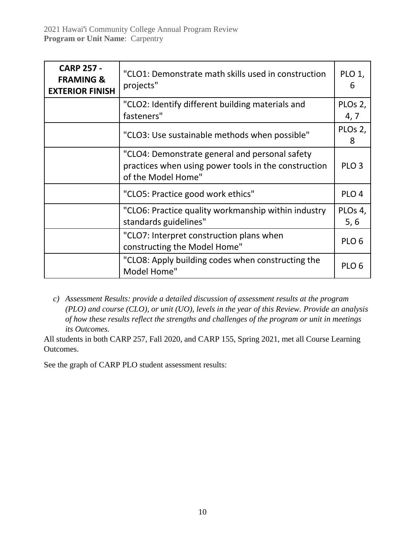| <b>CARP 257 -</b><br><b>FRAMING &amp;</b><br><b>EXTERIOR FINISH</b> | "CLO1: Demonstrate math skills used in construction<br>projects"                                                             |                  |
|---------------------------------------------------------------------|------------------------------------------------------------------------------------------------------------------------------|------------------|
|                                                                     | "CLO2: Identify different building materials and<br>fasteners"                                                               | PLOs 2,<br>4, 7  |
|                                                                     | "CLO3: Use sustainable methods when possible"                                                                                | PLOs 2,<br>8     |
|                                                                     | "CLO4: Demonstrate general and personal safety<br>practices when using power tools in the construction<br>of the Model Home" | PLO <sub>3</sub> |
|                                                                     | "CLO5: Practice good work ethics"                                                                                            | PLO <sub>4</sub> |
|                                                                     | "CLO6: Practice quality workmanship within industry<br>standards guidelines"                                                 | PLOs 4,<br>5, 6  |
|                                                                     | "CLO7: Interpret construction plans when<br>constructing the Model Home"                                                     | PLO <sub>6</sub> |
|                                                                     | "CLO8: Apply building codes when constructing the<br>Model Home"                                                             | PLO <sub>6</sub> |

*c) Assessment Results: provide a detailed discussion of assessment results at the program (PLO) and course (CLO), or unit (UO), levels in the year of this Review. Provide an analysis of how these results reflect the strengths and challenges of the program or unit in meetings its Outcomes.*

All students in both CARP 257, Fall 2020, and CARP 155, Spring 2021, met all Course Learning Outcomes.

See the graph of CARP PLO student assessment results: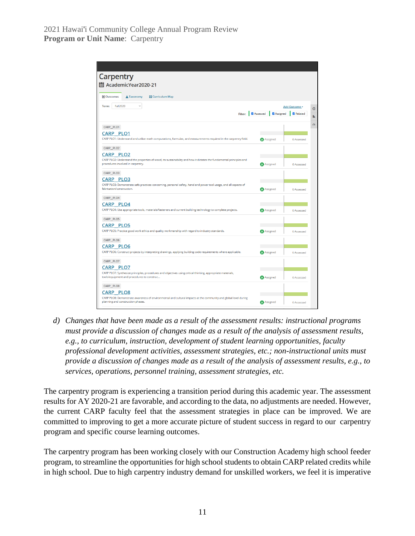| Carpentry                                                                                                                                                 |                                        |                   |
|-----------------------------------------------------------------------------------------------------------------------------------------------------------|----------------------------------------|-------------------|
| 圖 AcademicYear2020-21                                                                                                                                     |                                        |                   |
|                                                                                                                                                           |                                        |                   |
| <b>■ Outcomes</b><br>▲ Taxonomy<br><b>E</b> Curriculum Map                                                                                                |                                        |                   |
| <b>Fall2020</b><br>$\checkmark$<br>Term:                                                                                                                  |                                        | Add Outcome -     |
| <b>Filter:</b>                                                                                                                                            | <b>Z</b> Assessed<br><b>Z</b> Assigned | Related           |
| CARP_PLO1                                                                                                                                                 |                                        |                   |
| <b>CARP PLO1</b><br>CARP PLO1: Understand and utilize math computations, formulas, and measurements required in the carpentry field.                      | A Assigned                             | <b>6 Assessed</b> |
| CARP_PLO2                                                                                                                                                 |                                        |                   |
| <b>CARP PLO2</b>                                                                                                                                          |                                        |                   |
| CARP PLO2: Understand the properties of wood, its sustainability and how it dictates the fundamental principles and<br>procedures involved in carpentry.  | A Assigned                             | 6 Assessed        |
| CARP_PLO3                                                                                                                                                 |                                        |                   |
| <b>CARP PLO3</b>                                                                                                                                          |                                        |                   |
| CARP PLO3: Demonstrate safe practices concerning, personal safety, hand and power tool usage, and all aspects of<br>fabrication/construction.             | A Assigned                             | 6 Assessed        |
| CARP PLO4                                                                                                                                                 |                                        |                   |
| CARP PLO4                                                                                                                                                 |                                        |                   |
| CARP PLO4: Use appropriate tools, materials/fasteners and current building technology to complete projects.                                               | A Assigned                             | 6 Assessed        |
| CARP_PLO5                                                                                                                                                 |                                        |                   |
| CARP PLO5                                                                                                                                                 |                                        |                   |
| CARP PLO5: Practice good work ethics and quality workmanship with regard to industry standards.                                                           | A Assigned                             | 6 Assessed        |
| CARP PLO6                                                                                                                                                 |                                        |                   |
| CARP PLO6                                                                                                                                                 |                                        |                   |
| CARP PLO6: Construct projects by interpreting drawings, applying building code requirements where applicable.                                             | A Assigned                             | 6 Assessed        |
| CARP PLO7                                                                                                                                                 |                                        |                   |
| CARP PLO7                                                                                                                                                 |                                        |                   |
| CARP PLO7: Synthesize principles, procedures and objectives using critical thinking, appropriate materials,<br>tools/equipment and procedures to construc | A Assigned                             | 6 Assessed        |
| CARP_PLO8                                                                                                                                                 |                                        |                   |
| <b>CARP PLO8</b>                                                                                                                                          |                                        |                   |
| CARP PLO8: Demonstrate awareness of environmental and cultural impacts at the community and global level during                                           |                                        |                   |

*d) Changes that have been made as a result of the assessment results: instructional programs must provide a discussion of changes made as a result of the analysis of assessment results, e.g., to curriculum, instruction, development of student learning opportunities, faculty professional development activities, assessment strategies, etc.; non-instructional units must provide a discussion of changes made as a result of the analysis of assessment results, e.g., to services, operations, personnel training, assessment strategies, etc.*

The carpentry program is experiencing a transition period during this academic year. The assessment results for AY 2020-21 are favorable, and according to the data, no adjustments are needed. However, the current CARP faculty feel that the assessment strategies in place can be improved. We are committed to improving to get a more accurate picture of student success in regard to our carpentry program and specific course learning outcomes.

The carpentry program has been working closely with our Construction Academy high school feeder program, to streamline the opportunities for high school students to obtain CARP related credits while in high school. Due to high carpentry industry demand for unskilled workers, we feel it is imperative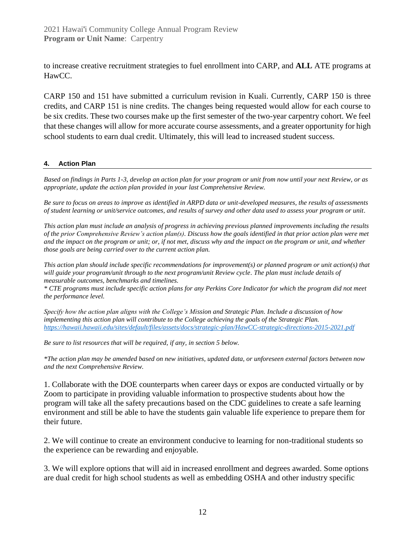to increase creative recruitment strategies to fuel enrollment into CARP, and **ALL** ATE programs at HawCC.

CARP 150 and 151 have submitted a curriculum revision in Kuali. Currently, CARP 150 is three credits, and CARP 151 is nine credits. The changes being requested would allow for each course to be six credits. These two courses make up the first semester of the two-year carpentry cohort. We feel that these changes will allow for more accurate course assessments, and a greater opportunity for high school students to earn dual credit. Ultimately, this will lead to increased student success.

#### **4. Action Plan**

*Based on findings in Parts 1-3, develop an action plan for your program or unit from now until your next Review, or as appropriate, update the action plan provided in your last Comprehensive Review.*

*Be sure to focus on areas to improve as identified in ARPD data or unit-developed measures, the results of assessments of student learning or unit/service outcomes, and results of survey and other data used to assess your program or unit.* 

*This action plan must include an analysis of progress in achieving previous planned improvements including the results of the prior Comprehensive Review's action plan(s). Discuss how the goals identified in that prior action plan were met and the impact on the program or unit; or, if not met, discuss why and the impact on the program or unit, and whether those goals are being carried over to the current action plan.* 

*This action plan should include specific recommendations for improvement(s) or planned program or unit action(s) that will guide your program/unit through to the next program/unit Review cycle. The plan must include details of measurable outcomes, benchmarks and timelines.* 

*\* CTE programs must include specific action plans for any Perkins Core Indicator for which the program did not meet the performance level.*

*Specify how the action plan aligns with the College's Mission and Strategic Plan. Include a discussion of how implementing this action plan will contribute to the College achieving the goals of the Strategic Plan. [https://hawaii.hawaii.edu/sites/default/files/assets/docs/strategic-plan/HawCC-strategic-directions-2015-2021.pdf](https://hawaii.hawaii.edu/sites/default/files/assets/docs/strategic-plan/hawcc-strategic-directions-2015-2021.pdf)*

*Be sure to list resources that will be required, if any, in section 5 below.*

*\*The action plan may be amended based on new initiatives, updated data, or unforeseen external factors between now and the next Comprehensive Review.*

1. Collaborate with the DOE counterparts when career days or expos are conducted virtually or by Zoom to participate in providing valuable information to prospective students about how the program will take all the safety precautions based on the CDC guidelines to create a safe learning environment and still be able to have the students gain valuable life experience to prepare them for their future.

2. We will continue to create an environment conducive to learning for non-traditional students so the experience can be rewarding and enjoyable.

3. We will explore options that will aid in increased enrollment and degrees awarded. Some options are dual credit for high school students as well as embedding OSHA and other industry specific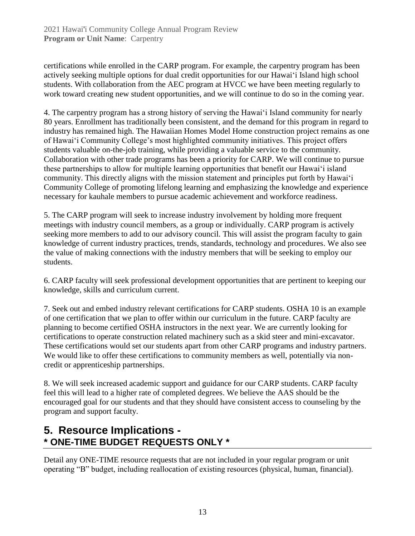certifications while enrolled in the CARP program. For example, the carpentry program has been actively seeking multiple options for dual credit opportunities for our Hawaiʻi Island high school students. With collaboration from the AEC program at HVCC we have been meeting regularly to work toward creating new student opportunities, and we will continue to do so in the coming year.

4. The carpentry program has a strong history of serving the Hawai'i Island community for nearly 80 years. Enrollment has traditionally been consistent, and the demand for this program in regard to industry has remained high. The Hawaiian Homes Model Home construction project remains as one of Hawai'i Community College's most highlighted community initiatives. This project offers students valuable on-the-job training, while providing a valuable service to the community. Collaboration with other trade programs has been a priority for CARP. We will continue to pursue these partnerships to allow for multiple learning opportunities that benefit our Hawai'i island community. This directly aligns with the mission statement and principles put forth by Hawai'i Community College of promoting lifelong learning and emphasizing the knowledge and experience necessary for kauhale members to pursue academic achievement and workforce readiness.

5. The CARP program will seek to increase industry involvement by holding more frequent meetings with industry council members, as a group or individually. CARP program is actively seeking more members to add to our advisory council. This will assist the program faculty to gain knowledge of current industry practices, trends, standards, technology and procedures. We also see the value of making connections with the industry members that will be seeking to employ our students.

6. CARP faculty will seek professional development opportunities that are pertinent to keeping our knowledge, skills and curriculum current.

7. Seek out and embed industry relevant certifications for CARP students. OSHA 10 is an example of one certification that we plan to offer within our curriculum in the future. CARP faculty are planning to become certified OSHA instructors in the next year. We are currently looking for certifications to operate construction related machinery such as a skid steer and mini-excavator. These certifications would set our students apart from other CARP programs and industry partners. We would like to offer these certifications to community members as well, potentially via noncredit or apprenticeship partnerships.

8. We will seek increased academic support and guidance for our CARP students. CARP faculty feel this will lead to a higher rate of completed degrees. We believe the AAS should be the encouraged goal for our students and that they should have consistent access to counseling by the program and support faculty.

### **5. Resource Implications - \* ONE-TIME BUDGET REQUESTS ONLY \***

Detail any ONE-TIME resource requests that are not included in your regular program or unit operating "B" budget, including reallocation of existing resources (physical, human, financial).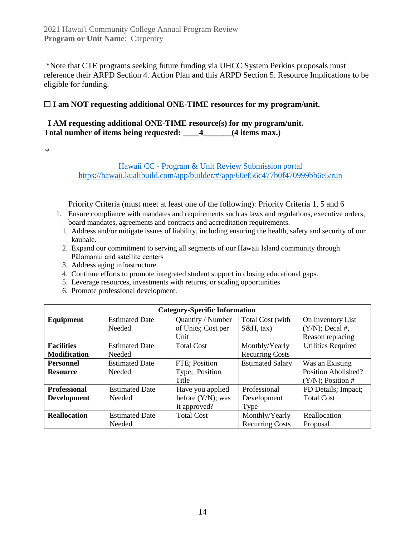\*Note that CTE programs seeking future funding via UHCC System Perkins proposals must reference their ARPD Section 4. Action Plan and this ARPD Section 5. Resource Implications to be eligible for funding.

#### ☐ **I am NOT requesting additional ONE-TIME resources for my program/unit.**

#### **I AM requesting additional ONE-TIME resource(s) for my program/unit. Total number of items being requested: \_\_\_\_4\_\_\_\_\_\_\_(4 items max.)**

\*

#### Hawaii CC - [Program & Unit Review Submission portal](https://hawaii.kualibuild.com/app/builder/#/app/60ef56c477b0f470999bb6e5/run) <https://hawaii.kualibuild.com/app/builder/#/app/60ef56c477b0f470999bb6e5/run>

Priority Criteria (must meet at least one of the following): Priority Criteria 1, 5 and 6

- 1. Ensure compliance with mandates and requirements such as laws and regulations, executive orders, board mandates, agreements and contracts and accreditation requirements.
	- 1. Address and/or mitigate issues of liability, including ensuring the health, safety and security of our kauhale.
	- 2. Expand our commitment to serving all segments of our Hawaii Island community through Pālamanui and satellite centers
	- 3. Address aging infrastructure.
	- 4. Continue efforts to promote integrated student support in closing educational gaps.
	- 5. Leverage resources, investments with returns, or scaling opportunities
	- 6. Promote professional development.

| <b>Category-Specific Information</b> |                       |                      |                         |                           |  |  |
|--------------------------------------|-----------------------|----------------------|-------------------------|---------------------------|--|--|
| Equipment                            | <b>Estimated Date</b> | Quantity / Number    | Total Cost (with        | On Inventory List         |  |  |
|                                      | Needed                | of Units; Cost per   | $S&H, \text{tax}$       | $(Y/N)$ ; Decal #,        |  |  |
|                                      |                       | Unit                 |                         | Reason replacing          |  |  |
| <b>Facilities</b>                    | <b>Estimated Date</b> | <b>Total Cost</b>    | Monthly/Yearly          | <b>Utilities Required</b> |  |  |
| <b>Modification</b>                  | Needed                |                      | <b>Recurring Costs</b>  |                           |  |  |
| <b>Personnel</b>                     | <b>Estimated Date</b> | FTE; Position        | <b>Estimated Salary</b> | Was an Existing           |  |  |
| <b>Resource</b>                      | Needed                | Type; Position       |                         | Position Abolished?       |  |  |
|                                      |                       | Title                |                         | $(Y/N)$ ; Position #      |  |  |
| <b>Professional</b>                  | <b>Estimated Date</b> | Have you applied     | Professional            | PD Details; Impact;       |  |  |
| <b>Development</b>                   | Needed                | before $(Y/N)$ ; was | Development             | <b>Total Cost</b>         |  |  |
|                                      |                       | it approved?         | Type                    |                           |  |  |
| <b>Reallocation</b>                  | <b>Estimated Date</b> | <b>Total Cost</b>    | Monthly/Yearly          | Reallocation              |  |  |
|                                      | Needed                |                      | <b>Recurring Costs</b>  | Proposal                  |  |  |